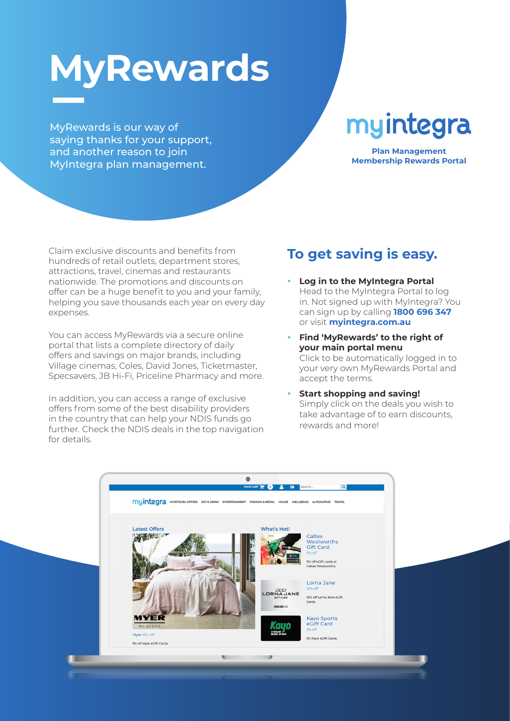# **MyRewards**

MyRewards is our way of saying thanks for your support, and another reason to join MyIntegra plan management.

## myintegra

**Plan Management Membership Rewards Portal**

Claim exclusive discounts and benefits from hundreds of retail outlets, department stores, attractions, travel, cinemas and restaurants nationwide. The promotions and discounts on offer can be a huge benefit to you and your family, helping you save thousands each year on every day expenses.

You can access MyRewards via a secure online portal that lists a complete directory of daily offers and savings on major brands, including Village cinemas, Coles, David Jones, Ticketmaster, Specsavers, JB Hi-Fi, Priceline Pharmacy and more.

In addition, you can access a range of exclusive offers from some of the best disability providers in the country that can help your NDIS funds go further. Check the NDIS deals in the top navigation for details.

## **To get saving is easy.**

- **Log in to the MyIntegra Portal** Head to the MyIntegra Portal to log in. Not signed up with MyIntegra? You can sign up by calling **1800 696 347** or visit **myintegra.com.au**
- y **Find 'MyRewards' to the right of your main portal menu** Click to be automatically logged in to your very own MyRewards Portal and accept the terms.
- **Start shopping and saving!** Simply click on the deals you wish to take advantage of to earn discounts, rewards and more!